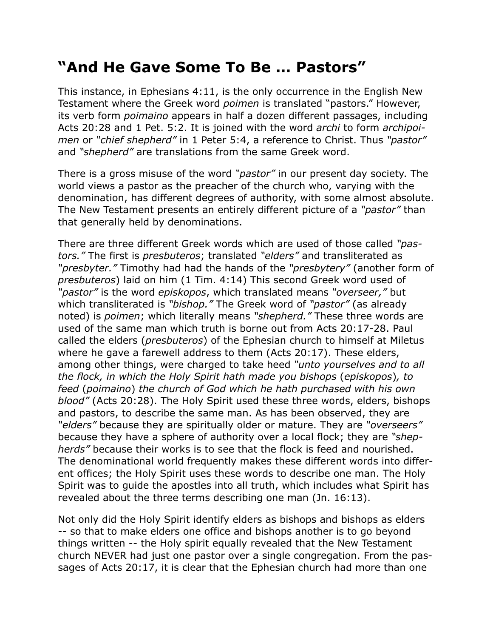## **"And He Gave Some To Be … Pastors"**

This instance, in Ephesians 4:11, is the only occurrence in the English New Testament where the Greek word *poimen* is translated "pastors." However, its verb form *poimaino* appears in half a dozen different passages, including Acts 20:28 and 1 Pet. 5:2. It is joined with the word *archi* to form *archipoimen* or *"chief shepherd"* in 1 Peter 5:4, a reference to Christ. Thus *"pastor"* and *"shepherd"* are translations from the same Greek word.

There is a gross misuse of the word *"pastor"* in our present day society. The world views a pastor as the preacher of the church who, varying with the denomination, has different degrees of authority, with some almost absolute. The New Testament presents an entirely different picture of a *"pastor"* than that generally held by denominations.

There are three different Greek words which are used of those called *"pastors."* The first is *presbuteros*; translated *"elders"* and transliterated as *"presbyter."* Timothy had had the hands of the *"presbytery"* (another form of *presbuteros*) laid on him (1 Tim. 4:14) This second Greek word used of *"pastor"* is the word *episkopos*, which translated means *"overseer,"* but which transliterated is *"bishop."* The Greek word of *"pastor"* (as already noted) is *poimen*; which literally means *"shepherd."* These three words are used of the same man which truth is borne out from Acts 20:17-28. Paul called the elders (*presbuteros*) of the Ephesian church to himself at Miletus where he gave a farewell address to them (Acts 20:17). These elders, among other things, were charged to take heed *"unto yourselves and to all the flock, in which the Holy Spirit hath made you bishops* (*episkopos*)*, to feed* (*poimaino*) *the church of God which he hath purchased with his own blood"* (Acts 20:28). The Holy Spirit used these three words, elders, bishops and pastors, to describe the same man. As has been observed, they are *"elders"* because they are spiritually older or mature. They are *"overseers"* because they have a sphere of authority over a local flock; they are *"shepherds"* because their works is to see that the flock is feed and nourished. The denominational world frequently makes these different words into different offices; the Holy Spirit uses these words to describe one man. The Holy Spirit was to guide the apostles into all truth, which includes what Spirit has revealed about the three terms describing one man (Jn. 16:13).

Not only did the Holy Spirit identify elders as bishops and bishops as elders -- so that to make elders one office and bishops another is to go beyond things written -- the Holy spirit equally revealed that the New Testament church NEVER had just one pastor over a single congregation. From the passages of Acts 20:17, it is clear that the Ephesian church had more than one